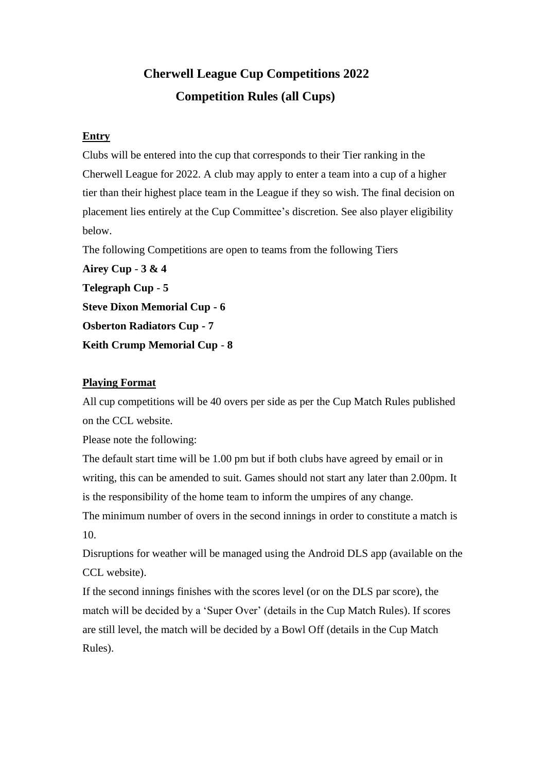# **Cherwell League Cup Competitions 2022 Competition Rules (all Cups)**

# **Entry**

Clubs will be entered into the cup that corresponds to their Tier ranking in the Cherwell League for 2022. A club may apply to enter a team into a cup of a higher tier than their highest place team in the League if they so wish. The final decision on placement lies entirely at the Cup Committee's discretion. See also player eligibility below.

The following Competitions are open to teams from the following Tiers

**Airey Cup** - **3 & 4 Telegraph Cup** - **5 Steve Dixon Memorial Cup - 6 Osberton Radiators Cup - 7** 

**Keith Crump Memorial Cup** - **8** 

# **Playing Format**

All cup competitions will be 40 overs per side as per the Cup Match Rules published on the CCL website.

Please note the following:

The default start time will be 1.00 pm but if both clubs have agreed by email or in writing, this can be amended to suit. Games should not start any later than 2.00pm. It is the responsibility of the home team to inform the umpires of any change. The minimum number of overs in the second innings in order to constitute a match is 10.

Disruptions for weather will be managed using the Android DLS app (available on the CCL website).

If the second innings finishes with the scores level (or on the DLS par score), the match will be decided by a 'Super Over' (details in the Cup Match Rules). If scores are still level, the match will be decided by a Bowl Off (details in the Cup Match Rules).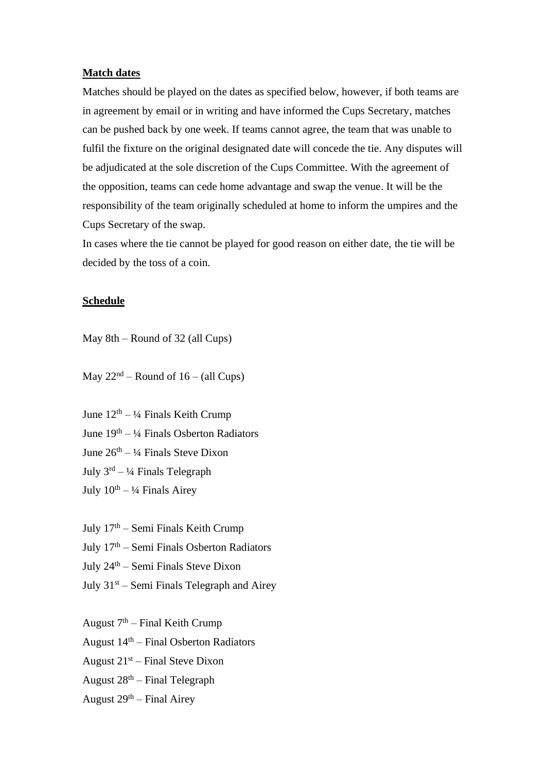### **Match dates**

Matches should be played on the dates as specified below, however, if both teams are in agreement by email or in writing and have informed the Cups Secretary, matches can be pushed back by one week. If teams cannot agree, the team that was unable to fulfil the fixture on the original designated date will concede the tie. Any disputes will be adjudicated at the sole discretion of the Cups Committee. With the agreement of the opposition, teams can cede home advantage and swap the venue. It will be the responsibility of the team originally scheduled at home to inform the umpires and the Cups Secretary of the swap.

In cases where the tie cannot be played for good reason on either date, the tie will be decided by the toss of a coin.

#### **Schedule**

May 8th – Round of 32 (all Cups)

May  $22<sup>nd</sup>$  – Round of 16 – (all Cups)

June  $12<sup>th</sup> - <sup>1</sup>/<sub>4</sub>$  Finals Keith Crump June 19th – ¼ Finals Osberton Radiators June  $26<sup>th</sup> - \frac{1}{4}$  Finals Steve Dixon July  $3^{rd} - \frac{1}{4}$  Finals Telegraph July  $10^{th} - \frac{1}{4}$  Finals Airey

July  $17<sup>th</sup>$  – Semi Finals Keith Crump

July  $17<sup>th</sup>$  – Semi Finals Osberton Radiators

July 24th – Semi Finals Steve Dixon

July  $31<sup>st</sup>$  – Semi Finals Telegraph and Airey

August  $7<sup>th</sup>$  – Final Keith Crump August  $14<sup>th</sup>$  – Final Osberton Radiators August  $21^{st}$  – Final Steve Dixon August  $28<sup>th</sup>$  – Final Telegraph

August  $29<sup>th</sup>$  – Final Airey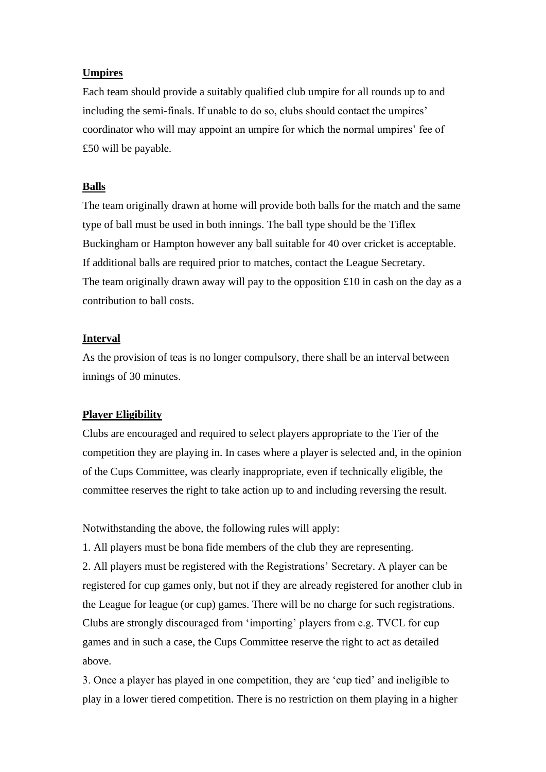## **Umpires**

Each team should provide a suitably qualified club umpire for all rounds up to and including the semi-finals. If unable to do so, clubs should contact the umpires' coordinator who will may appoint an umpire for which the normal umpires' fee of £50 will be payable.

## **Balls**

The team originally drawn at home will provide both balls for the match and the same type of ball must be used in both innings. The ball type should be the Tiflex Buckingham or Hampton however any ball suitable for 40 over cricket is acceptable. If additional balls are required prior to matches, contact the League Secretary. The team originally drawn away will pay to the opposition  $\pounds 10$  in cash on the day as a contribution to ball costs.

#### **Interval**

above.

As the provision of teas is no longer compulsory, there shall be an interval between innings of 30 minutes.

#### **Player Eligibility**

Clubs are encouraged and required to select players appropriate to the Tier of the competition they are playing in. In cases where a player is selected and, in the opinion of the Cups Committee, was clearly inappropriate, even if technically eligible, the committee reserves the right to take action up to and including reversing the result.

Notwithstanding the above, the following rules will apply:

1. All players must be bona fide members of the club they are representing. 2. All players must be registered with the Registrations' Secretary. A player can be registered for cup games only, but not if they are already registered for another club in the League for league (or cup) games. There will be no charge for such registrations. Clubs are strongly discouraged from 'importing' players from e.g. TVCL for cup games and in such a case, the Cups Committee reserve the right to act as detailed

3. Once a player has played in one competition, they are 'cup tied' and ineligible to play in a lower tiered competition. There is no restriction on them playing in a higher